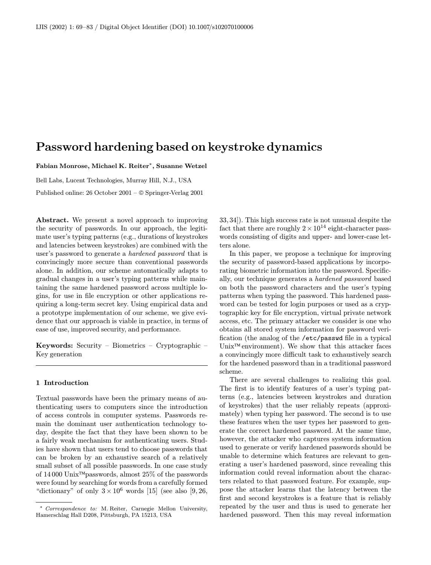# Password hardening based on keystroke dynamics

Fabian Monrose, Michael K. Reiter∗, Susanne Wetzel

Bell Labs, Lucent Technologies, Murray Hill, N.J., USA

Published online:  $26$  October  $2001 - \circ$  Springer-Verlag  $2001$ 

Abstract. We present a novel approach to improving the security of passwords. In our approach, the legitimate user's typing patterns (e.g., durations of keystrokes and latencies between keystrokes) are combined with the user's password to generate a hardened password that is convincingly more secure than conventional passwords alone. In addition, our scheme automatically adapts to gradual changes in a user's typing patterns while maintaining the same hardened password across multiple logins, for use in file encryption or other applications requiring a long-term secret key. Using empirical data and a prototype implementation of our scheme, we give evidence that our approach is viable in practice, in terms of ease of use, improved security, and performance.

**Keywords:** Security – Biometrics – Cryptographic – Key generation

# 1 Introduction

Textual passwords have been the primary means of authenticating users to computers since the introduction of access controls in computer systems. Passwords remain the dominant user authentication technology today, despite the fact that they have been shown to be a fairly weak mechanism for authenticating users. Studies have shown that users tend to choose passwords that can be broken by an exhaustive search of a relatively small subset of all possible passwords. In one case study of 14000 Unix<sup> $m$ </sup> passwords, almost 25% of the passwords were found by searching for words from a carefully formed "dictionary" of only  $3 \times 10^6$  words [15] (see also [9, 26,

33, 34]). This high success rate is not unusual despite the fact that there are roughly  $2 \times 10^{14}$  eight-character passwords consisting of digits and upper- and lower-case letters alone.

In this paper, we propose a technique for improving the security of password-based applications by incorporating biometric information into the password. Specifically, our technique generates a hardened password based on both the password characters and the user's typing patterns when typing the password. This hardened password can be tested for login purposes or used as a cryptographic key for file encryption, virtual private network access, etc. The primary attacker we consider is one who obtains all stored system information for password verification (the analog of the /etc/passwd file in a typical  $Unix^m$  environment). We show that this attacker faces a convincingly more difficult task to exhaustively search for the hardened password than in a traditional password scheme.

There are several challenges to realizing this goal. The first is to identify features of a user's typing patterns (e.g., latencies between keystrokes and duration of keystrokes) that the user reliably repeats (approximately) when typing her password. The second is to use these features when the user types her password to generate the correct hardened password. At the same time, however, the attacker who captures system information used to generate or verify hardened passwords should be unable to determine which features are relevant to generating a user's hardened password, since revealing this information could reveal information about the characters related to that password feature. For example, suppose the attacker learns that the latency between the first and second keystrokes is a feature that is reliably repeated by the user and thus is used to generate her hardened password. Then this may reveal information

Correspondence to: M. Reiter, Carnegie Mellon University, Hamerschlag Hall D208, Pittsburgh, PA 15213, USA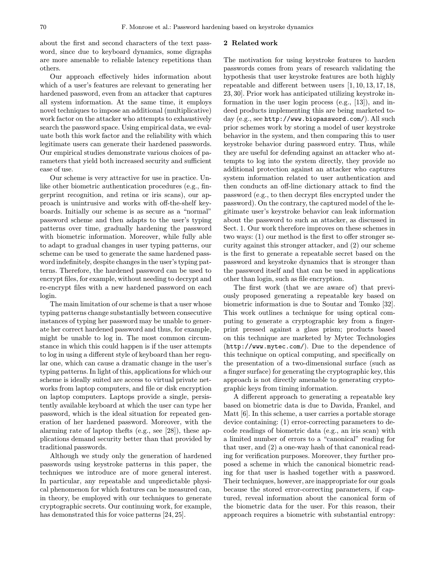about the first and second characters of the text password, since due to keyboard dynamics, some digraphs are more amenable to reliable latency repetitions than others.

Our approach effectively hides information about which of a user's features are relevant to generating her hardened password, even from an attacker that captures all system information. At the same time, it employs novel techniques to impose an additional (multiplicative) work factor on the attacker who attempts to exhaustively search the password space. Using empirical data, we evaluate both this work factor and the reliability with which legitimate users can generate their hardened passwords. Our empirical studies demonstrate various choices of parameters that yield both increased security and sufficient ease of use.

Our scheme is very attractive for use in practice. Unlike other biometric authentication procedures (e.g., fingerprint recognition, and retina or iris scans), our approach is unintrusive and works with off-the-shelf keyboards. Initially our scheme is as secure as a "normal" password scheme and then adapts to the user's typing patterns over time, gradually hardening the password with biometric information. Moreover, while fully able to adapt to gradual changes in user typing patterns, our scheme can be used to generate the same hardened password indefinitely, despite changes in the user's typing patterns. Therefore, the hardened password can be used to encrypt files, for example, without needing to decrypt and re-encrypt files with a new hardened password on each login.

The main limitation of our scheme is that a user whose typing patterns change substantially between consecutive instances of typing her password may be unable to generate her correct hardened password and thus, for example, might be unable to log in. The most common circumstance in which this could happen is if the user attempts to log in using a different style of keyboard than her regular one, which can cause a dramatic change in the user's typing patterns. In light of this, applications for which our scheme is ideally suited are access to virtual private networks from laptop computers, and file or disk encryption on laptop computers. Laptops provide a single, persistently available keyboard at which the user can type her password, which is the ideal situation for repeated generation of her hardened password. Moreover, with the alarming rate of laptop thefts (e.g., see [28]), these applications demand security better than that provided by traditional passwords.

Although we study only the generation of hardened passwords using keystroke patterns in this paper, the techniques we introduce are of more general interest. In particular, any repeatable and unpredictable physical phenomenon for which features can be measured can, in theory, be employed with our techniques to generate cryptographic secrets. Our continuing work, for example, has demonstrated this for voice patterns [24, 25].

## 2 Related work

The motivation for using keystroke features to harden passwords comes from years of research validating the hypothesis that user keystroke features are both highly repeatable and different between users [1, 10, 13, 17, 18, 23, 30]. Prior work has anticipated utilizing keystroke information in the user login process (e.g., [13]), and indeed products implementing this are being marketed today (e.g., see http://www.biopassword.com/). All such prior schemes work by storing a model of user keystroke behavior in the system, and then comparing this to user keystroke behavior during password entry. Thus, while they are useful for defending against an attacker who attempts to log into the system directly, they provide no additional protection against an attacker who captures system information related to user authentication and then conducts an off-line dictionary attack to find the password (e.g., to then decrypt files encrypted under the password). On the contrary, the captured model of the legitimate user's keystroke behavior can leak information about the password to such an attacker, as discussed in Sect. 1. Our work therefore improves on these schemes in two ways: (1) our method is the first to offer stronger security against this stronger attacker, and (2) our scheme is the first to generate a repeatable secret based on the password and keystroke dynamics that is stronger than the password itself and that can be used in applications other than login, such as file encryption.

The first work (that we are aware of) that previously proposed generating a repeatable key based on biometric information is due to Soutar and Tomko [32]. This work outlines a technique for using optical computing to generate a cryptographic key from a fingerprint pressed against a glass prism; products based on this technique are marketed by Mytec Technologies (http://www.mytec.com/). Due to the dependence of this technique on optical computing, and specifically on the presentation of a two-dimensional surface (such as a finger surface) for generating the cryptographic key, this approach is not directly amenable to generating cryptographic keys from timing information.

A different approach to generating a repeatable key based on biometric data is due to Davida, Frankel, and Matt [6]. In this scheme, a user carries a portable storage device containing: (1) error-correcting parameters to decode readings of biometric data (e.g., an iris scan) with a limited number of errors to a "canonical" reading for that user, and (2) a one-way hash of that canonical reading for verification purposes. Moreover, they further proposed a scheme in which the canonical biometric reading for that user is hashed together with a password. Their techniques, however, are inappropriate for our goals because the stored error-correcting parameters, if captured, reveal information about the canonical form of the biometric data for the user. For this reason, their approach requires a biometric with substantial entropy: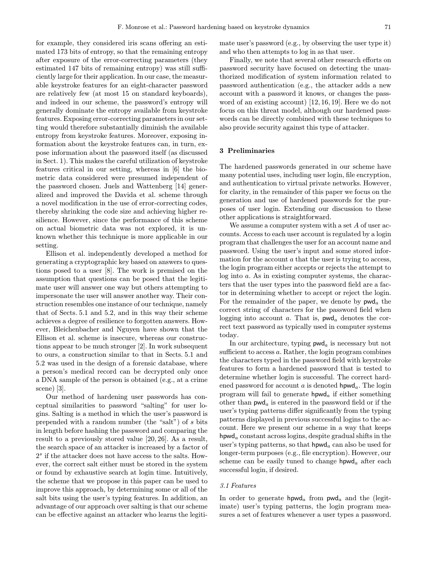for example, they considered iris scans offering an estimated 173 bits of entropy, so that the remaining entropy after exposure of the error-correcting parameters (they estimated 147 bits of remaining entropy) was still sufficiently large for their application. In our case, the measurable keystroke features for an eight-character password are relatively few (at most 15 on standard keyboards), and indeed in our scheme, the password's entropy will generally dominate the entropy available from keystroke features. Exposing error-correcting parameters in our setting would therefore substantially diminish the available entropy from keystroke features. Moreover, exposing information about the keystroke features can, in turn, expose information about the password itself (as discussed in Sect. 1). This makes the careful utilization of keystroke features critical in our setting, whereas in [6] the biometric data considered were presumed independent of the password chosen. Juels and Wattenberg [14] generalized and improved the Davida et al. scheme through a novel modification in the use of error-correcting codes, thereby shrinking the code size and achieving higher resilience. However, since the performance of this scheme on actual biometric data was not explored, it is unknown whether this technique is more applicable in our setting.

Ellison et al. independently developed a method for generating a cryptographic key based on answers to questions posed to a user [8]. The work is premised on the assumption that questions can be posed that the legitimate user will answer one way but others attempting to impersonate the user will answer another way. Their construction resembles one instance of our technique, namely that of Sects. 5.1 and 5.2, and in this way their scheme achieves a degree of resilience to forgotten answers. However, Bleichenbacher and Nguyen have shown that the Ellison et al. scheme is insecure, whereas our constructions appear to be much stronger [2]. In work subsequent to ours, a construction similar to that in Sects. 5.1 and 5.2 was used in the design of a forensic database, where a person's medical record can be decrypted only once a DNA sample of the person is obtained (e.g., at a crime scene) [3].

Our method of hardening user passwords has conceptual similarities to password "salting" for user logins. Salting is a method in which the user's password is prepended with a random number (the "salt") of s bits in length before hashing the password and comparing the result to a previously stored value [20, 26]. As a result, the search space of an attacker is increased by a factor of  $2<sup>s</sup>$  if the attacker does not have access to the salts. However, the correct salt either must be stored in the system or found by exhaustive search at login time. Intuitively, the scheme that we propose in this paper can be used to improve this approach, by determining some or all of the salt bits using the user's typing features. In addition, an advantage of our approach over salting is that our scheme can be effective against an attacker who learns the legitimate user's password (e.g., by observing the user type it) and who then attempts to log in as that user.

Finally, we note that several other research efforts on password security have focused on detecting the unauthorized modification of system information related to password authentication (e.g., the attacker adds a new account with a password it knows, or changes the password of an existing account) [12, 16, 19]. Here we do not focus on this threat model, although our hardened passwords can be directly combined with these techniques to also provide security against this type of attacker.

# 3 Preliminaries

The hardened passwords generated in our scheme have many potential uses, including user login, file encryption, and authentication to virtual private networks. However, for clarity, in the remainder of this paper we focus on the generation and use of hardened passwords for the purposes of user login. Extending our discussion to these other applications is straightforward.

We assume a computer system with a set  $A$  of user accounts. Access to each user account is regulated by a login program that challenges the user for an account name and password. Using the user's input and some stored information for the account  $a$  that the user is trying to access, the login program either accepts or rejects the attempt to log into a. As in existing computer systems, the characters that the user types into the password field are a factor in determining whether to accept or reject the login. For the remainder of the paper, we denote by  $\mathsf{pwd}_a$  the correct string of characters for the password field when logging into account a. That is,  $\mathsf{pwd}_a$  denotes the correct text password as typically used in computer systems today.

In our architecture, typing  $\mathsf{pwd}_a$  is necessary but not sufficient to access a. Rather, the login program combines the characters typed in the password field with keystroke features to form a hardened password that is tested to determine whether login is successful. The correct hardened password for account a is denoted hpwd<sub>a</sub>. The login program will fail to generate  $h$ pwd<sub>a</sub> if either something other than  $\mathsf{pwd}_a$  is entered in the password field or if the user's typing patterns differ significantly from the typing patterns displayed in previous successful logins to the account. Here we present our scheme in a way that keeps  $h$ pwd<sub>a</sub> constant across logins, despite gradual shifts in the user's typing patterns, so that  $h$ pwd<sub>a</sub> can also be used for longer-term purposes (e.g., file encryption). However, our scheme can be easily tuned to change  $h$ pwd<sub>a</sub> after each successful login, if desired.

#### 3.1 Features

In order to generate hpwd<sub>a</sub> from  $\mathsf{pwd}_a$  and the (legitimate) user's typing patterns, the login program measures a set of features whenever a user types a password.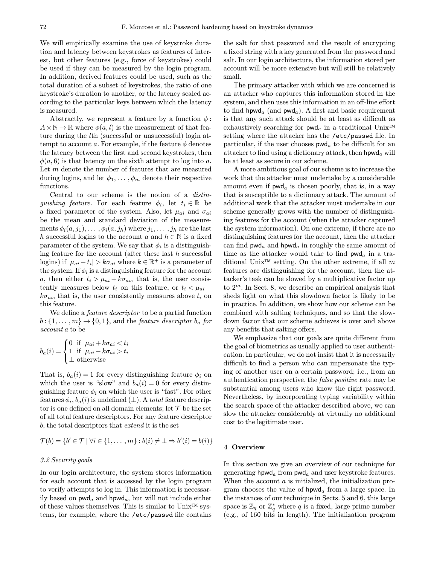We will empirically examine the use of keystroke duration and latency between keystrokes as features of interest, but other features (e.g., force of keystrokes) could be used if they can be measured by the login program. In addition, derived features could be used, such as the total duration of a subset of keystrokes, the ratio of one keystroke's duration to another, or the latency scaled according to the particular keys between which the latency is measured.

Abstractly, we represent a feature by a function  $\phi$ :  $A \times \mathbb{N} \to \mathbb{R}$  where  $\phi(a, l)$  is the measurement of that feature during the lth (successful or unsuccessful) login attempt to account a. For example, if the feature  $\phi$  denotes the latency between the first and second keystrokes, then  $\phi(a, 6)$  is that latency on the sixth attempt to log into a. Let  $m$  denote the number of features that are measured during logins, and let  $\phi_1, \ldots, \phi_m$  denote their respective functions.

Central to our scheme is the notion of a distinquishing feature. For each feature  $\phi_i$ , let  $t_i \in \mathbb{R}$  be a fixed parameter of the system. Also, let  $\mu_{ai}$  and  $\sigma_{ai}$ be the mean and standard deviation of the measurements  $\phi_i(a, j_1), \ldots, \phi_i(a, j_h)$  where  $j_1, \ldots, j_h$  are the last h successful logins to the account a and  $h \in \mathbb{N}$  is a fixed parameter of the system. We say that  $\phi_i$  is a distinguishing feature for the account (after these last h successful logins) if  $|\mu_{ai} - t_i| > k\sigma_{ai}$  where  $k \in \mathbb{R}^+$  is a parameter of the system. If  $\phi_i$  is a distinguishing feature for the account a, then either  $t_i > \mu_{ai} + k\sigma_{ai}$ , that is, the user consistently measures below  $t_i$  on this feature, or  $t_i < \mu_{ai}$  $k\sigma_{ai}$ , that is, the user consistently measures above  $t_i$  on this feature.

We define a *feature descriptor* to be a partial function  $b: \{1,\ldots,m\} \rightarrow \{0,1\}$ , and the *feature descriptor*  $b_a$  for account a to be

$$
b_a(i) = \begin{cases} 0 & \text{if } \mu_{ai} + k\sigma_{ai} < t_i \\ 1 & \text{if } \mu_{ai} - k\sigma_{ai} > t_i \\ \bot & \text{otherwise} \end{cases}
$$

That is,  $b_a(i) = 1$  for every distinguishing feature  $\phi_i$  on which the user is "slow" and  $b_a(i) = 0$  for every distinguishing feature  $\phi_i$  on which the user is "fast". For other features  $\phi_i$ ,  $b_a(i)$  is undefined ( $\perp$ ). A total feature descriptor is one defined on all domain elements; let  $\mathcal T$  be the set of all total feature descriptors. For any feature descriptor b, the total descriptors that extend it is the set

$$
\mathcal{T}(b) = \{b' \in \mathcal{T} \mid \forall i \in \{1, \ldots, m\} : b(i) \neq \bot \Rightarrow b'(i) = b(i)\}
$$

# 3.2 Security goals

In our login architecture, the system stores information for each account that is accessed by the login program to verify attempts to log in. This information is necessarily based on  $\mathsf{pwd}_a$  and  $\mathsf{h}\mathsf{pwd}_a$ , but will not include either of these values themselves. This is similar to  $\text{Unix}^{\text{TM}}$  systems, for example, where the /etc/passwd file contains the salt for that password and the result of encrypting a fixed string with a key generated from the password and salt. In our login architecture, the information stored per account will be more extensive but will still be relatively small.

The primary attacker with which we are concerned is an attacker who captures this information stored in the system, and then uses this information in an off-line effort to find hpwd<sub>a</sub> (and pwd<sub>a</sub>). A first and basic requirement is that any such attack should be at least as difficult as exhaustively searching for  $\mathsf{pwd}_a$  in a traditional Unix<sup>TM</sup> setting where the attacker has the /etc/passwd file. In particular, if the user chooses  $\mathsf{pwd}_a$  to be difficult for an attacker to find using a dictionary attack, then  $h$ pwd<sub>a</sub> will be at least as secure in our scheme.

A more ambitious goal of our scheme is to increase the work that the attacker must undertake by a considerable amount even if  $\mathsf{pwd}_a$  is chosen poorly, that is, in a way that is susceptible to a dictionary attack. The amount of additional work that the attacker must undertake in our scheme generally grows with the number of distinguishing features for the account (when the attacker captured the system information). On one extreme, if there are no distinguishing features for the account, then the attacker can find  $\mathsf{pwd}_a$  and  $\mathsf{h}\mathsf{pwd}_a$  in roughly the same amount of time as the attacker would take to find  $\mathsf{pwd}_a$  in a traditional Unix<sup><sup>IM</sup> setting. On the other extreme, if all m</sup> features are distinguishing for the account, then the attacker's task can be slowed by a multiplicative factor up to  $2^m$ . In Sect. 8, we describe an empirical analysis that sheds light on what this slowdown factor is likely to be in practice. In addition, we show how our scheme can be combined with salting techniques, and so that the slowdown factor that our scheme achieves is over and above any benefits that salting offers.

We emphasize that our goals are quite different from the goal of biometrics as usually applied to user authentication. In particular, we do not insist that it is necessarily difficult to find a person who can impersonate the typing of another user on a certain password; i.e., from an authentication perspective, the false positive rate may be substantial among users who know the right password. Nevertheless, by incorporating typing variability within the search space of the attacker described above, we can slow the attacker considerably at virtually no additional cost to the legitimate user.

# 4 Overview

In this section we give an overview of our technique for generating hpwd<sub>a</sub> from  $\mathsf{pwd}_a$  and user keystroke features. When the account  $a$  is initialized, the initialization program chooses the value of  $h \text{pwd}_a$  from a large space. In the instances of our technique in Sects. 5 and 6, this large space is  $\mathbb{Z}_q$  or  $\mathbb{Z}_q^*$  where q is a fixed, large prime number (e.g., of 160 bits in length). The initialization program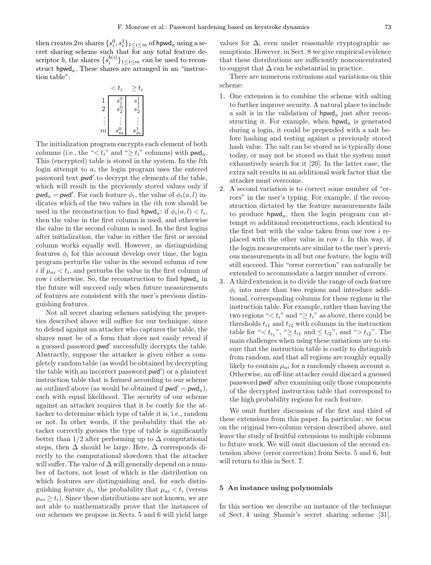then creates  $2m$  shares  $\{s^0_i,s^1_i\}_{1\leq i\leq m}$  of hpwd $_a$  using a secret sharing scheme such that for any total feature descriptor b, the shares  $\{s_i^{b(i)}\}_{1 \leq i \leq m}$  can be used to reconstruct hpwd<sub>a</sub>. These shares are arranged in an "instruction table":

$$
< t_i \geq t_i
$$
  
\n
$$
\frac{1}{2} \begin{bmatrix} s_1^0 & s_1^1 \\ s_2^0 & s_2^1 \\ \vdots & \vdots \\ s_m^0 & s_m^1 \end{bmatrix}
$$
  
\n
$$
m \begin{bmatrix} s_0^0 & s_m^1 \end{bmatrix}
$$

The initialization program encrypts each element of both columns (i.e., the "<  $t_i$ " and " $\geq t_i$ " columns) with  $\mathsf{pwd}_a$ . This (encrypted) table is stored in the system. In the lth login attempt to a, the login program uses the entered password text pwd' to decrypt the elements of the table, which will result in the previously stored values only if  $\mathsf{pwd}_a = \mathsf{pwd}'$ . For each feature  $\phi_i$ , the value of  $\phi_i(a, l)$  indicates which of the two values in the ith row should be used in the reconstruction to find  $h$ pwd<sub>a</sub>: if  $\phi_i(a, l) < t_i$ , then the value in the first column is used, and otherwise the value in the second column is used. In the first logins after initialization, the value in either the first or second column works equally well. However, as distinguishing features  $\phi_i$  for this account develop over time, the login program perturbs the value in the second column of row i if  $\mu_{ai} < t_i$ , and perturbs the value in the first column of row *i* otherwise. So, the reconstruction to find  $h$ pwd<sub>a</sub> in the future will succeed only when future measurements of features are consistent with the user's previous distinguishing features.

Not all secret sharing schemes satisfying the properties described above will suffice for our technique, since to defend against an attacker who captures the table, the shares must be of a form that does not easily reveal if a guessed password pwd' successfully decrypts the table. Abstractly, suppose the attacker is given either a completely random table (as would be obtained by decrypting the table with an incorrect password  $\mathsf{pwd}'$  or a plaintext instruction table that is formed according to our scheme as outlined above (as would be obtained if  $\mathsf{pwd}' = \mathsf{pwd}_a$ ), each with equal likelihood. The security of our scheme against an attacker requires that it be costly for the attacker to determine which type of table it is, i.e., random or not. In other words, if the probability that the attacker correctly guesses the type of table is significantly better than  $1/2$  after performing up to  $\Delta$  computational steps, then  $\Delta$  should be large. Here,  $\Delta$  corresponds directly to the computational slowdown that the attacker will suffer. The value of  $\Delta$  will generally depend on a number of factors, not least of which is the distribution on which features are distinguishing and, for each distinguishing feature  $\phi_i$ , the probability that  $\mu_{ai} < t_i$  (versus  $\mu_{ai} \geq t_i$ ). Since these distributions are not known, we are not able to mathematically prove that the instances of our schemes we propose in Sects. 5 and 6 will yield large

values for  $\Delta$ , even under reasonable cryptographic assumptions. However, in Sect. 8 we give empirical evidence that these distributions are sufficiently nonconcentrated to suggest that  $\Delta$  can be substantial in practice.

There are numerous extensions and variations on this scheme:

- 1. One extension is to combine the scheme with salting to further improve security. A natural place to include a salt is in the validation of  $h$ pwd<sub>a</sub> just after reconstructing it. For example, when  $h$ pwd<sub>a</sub> is generated during a login, it could be prepended with a salt before hashing and testing against a previously stored hash value. The salt can be stored as is typically done today, or may not be stored so that the system must exhaustively search for it [20]. In the latter case, the extra salt results in an additional work factor that the attacker must overcome.
- 2. A second variation is to correct some number of "errors" in the user's typing. For example, if the reconstruction dictated by the feature measurements fails to produce  $h$ pwd<sub>a</sub>, then the login program can attempt m additional reconstructions, each identical to the first but with the value taken from one row  $i$  replaced with the other value in row  $i$ . In this way, if the login measurements are similar to the user's previous measurements in all but one feature, the login will still succeed. This "error correction" can naturally be extended to accommodate a larger number of errors.
- 3. A third extension is to divide the range of each feature  $\phi_i$  into more than two regions and introduce additional, corresponding columns for these regions in the instruction table. For example, rather than having the two regions " $" and " $\geq t_i$ " as above, there could be$ thresholds  $t_{i1}$  and  $t_{i2}$  with columns in the instruction table for "<  $t_{i_1}$ ", " $\ge t_{i_1}$  and  $\le t_{i_2}$ ", and ">  $t_{i_2}$ ". The main challenges when using these variations are to ensure that the instruction table is costly to distinguish from random, and that all regions are roughly equally likely to contain  $\mu_{ai}$  for a randomly chosen account a. Otherwise, an off-line attacker could discard a guessed password pwd' after examining only those components of the decrypted instruction table that correspond to the high probability regions for each feature.

We omit further discussion of the first and third of these extensions from this paper. In particular, we focus on the original two-column version described above, and leave the study of fruitful extensions to multiple columns to future work. We will omit discussion of the second extension above (error correction) from Sects. 5 and 6, but will return to this in Sect. 7.

## 5 An instance using polynomials

In this section we describe an instance of the technique of Sect. 4 using Shamir's secret sharing scheme [31].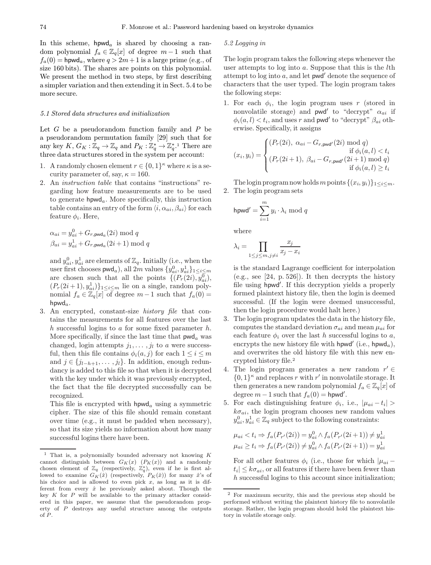In this scheme,  $h$ pwd<sub>a</sub> is shared by choosing a random polynomial  $f_a \in \mathbb{Z}_q[x]$  of degree  $m-1$  such that  $f_a(0) =$ hpwd<sub>a</sub>, where  $q > 2m+1$  is a large prime (e.g., of size 160 bits). The shares are points on this polynomial. We present the method in two steps, by first describing a simpler variation and then extending it in Sect. 5.4 to be more secure.

#### 5.1 Stored data structures and initialization

Let  $G$  be a pseudorandom function family and  $P$  be a pseudorandom permutation family [29] such that for any key  $K, G_K : \mathbb{Z}_q \to \mathbb{Z}_q$  and  $P_K : \mathbb{Z}_q^* \to \mathbb{Z}_q^{*}$ .<sup>1</sup> There are three data structures stored in the system per account:

- 1. A randomly chosen element  $r \in \{0,1\}^{\kappa}$  where  $\kappa$  is a security parameter of, say,  $\kappa = 160$ .
- 2. An instruction table that contains "instructions" regarding how feature measurements are to be used to generate  $h$ pwd<sub>a</sub>. More specifically, this instruction table contains an entry of the form  $\langle i, \alpha_{ai}, \beta_{ai} \rangle$  for each feature  $\phi_i$ . Here,

$$
\alpha_{ai} = y_{ai}^0 + G_{r,\text{pwd}_a}(2i) \mod q
$$
  

$$
\beta_{ai} = y_{ai}^1 + G_{r,\text{pwd}_a}(2i+1) \mod q
$$

and  $y_{ai}^0, y_{ai}^1$  are elements of  $\mathbb{Z}_q$ . Initially (i.e., when the user first chooses  $\mathsf{pwd}_a$ ), all  $2m$  values  $\{y^0_{ai}, y^1_{ai}\}_{1\le i\le m}$ are chosen such that all the points  $\{ (P_r(2i), y_{ai}^0),$  $(P_r(2i+1), y_{ai}^1)\}_{1 \leq i \leq m}$  lie on a single, random polynomial  $f_a \in \mathbb{Z}_q[x]$  of degree  $m-1$  such that  $f_a(0) =$ hpwd $_a$ .

3. An encrypted, constant-size history file that contains the measurements for all features over the last h successful logins to a for some fixed parameter h. More specifically, if since the last time that  $\mathsf{pwd}_a$  was changed, login attempts  $j_1, \ldots, j_l$  to a were successful, then this file contains  $\phi_i(a, j)$  for each  $1 \leq i \leq m$ and  $j \in \{j_{l-h+1},\ldots,j_l\}$ . In addition, enough redundancy is added to this file so that when it is decrypted with the key under which it was previously encrypted, the fact that the file decrypted successfully can be recognized.

This file is encrypted with  $h$ pwd<sub>a</sub> using a symmetric cipher. The size of this file should remain constant over time (e.g., it must be padded when necessary), so that its size yields no information about how many successful logins there have been.

# 5.2 Logging in

The login program takes the following steps whenever the user attempts to log into a. Suppose that this is the lth attempt to  $log$  into  $a$ , and let  $\mathsf{pwd}'$  denote the sequence of characters that the user typed. The login program takes the following steps:

1. For each  $\phi_i$ , the login program uses r (stored in nonvolatile storage) and pwd' to "decrypt"  $\alpha_{ai}$  if  $\phi_i(a, l) < t_i$ , and uses r and pwd' to "decrypt"  $\beta_{ai}$  otherwise. Specifically, it assigns

$$
(x_i, y_i) = \begin{cases} (P_r(2i), \ \alpha_{ai} - G_{r, \text{pwd}'}(2i) \mod q) & \text{if } \phi_i(a, l) < t_i \\ (P_r(2i+1), \ \beta_{ai} - G_{r, \text{pwd}'}(2i+1) \mod q) & \text{if } \phi_i(a, l) \ge t_i \end{cases}
$$

The login program now holds m points  $\{(x_i, y_i)\}_{1\leq i\leq m}$ . 2. The login program sets

$$
\mathsf{h} \mathsf{p} \mathsf{w} \mathsf{d}' = \sum_{i=1}^m y_i \cdot \lambda_i \bmod q
$$

where

$$
\lambda_i = \prod_{1 \le j \le m, j \ne i} \frac{x_j}{x_j - x_i}
$$

is the standard Lagrange coefficient for interpolation (e.g., see [24, p. 526]). It then decrypts the history file using hpwd'. If this decryption yields a properly formed plaintext history file, then the login is deemed successful. (If the login were deemed unsuccessful, then the login procedure would halt here.)

- 3. The login program updates the data in the history file, computes the standard deviation  $\sigma_{ai}$  and mean  $\mu_{ai}$  for each feature  $\phi_i$  over the last h successful logins to a, encrypts the new history file with  $h$ pwd' (i.e.,  $h$ pwd<sub>a</sub>), and overwrites the old history file with this new encrypted history file.<sup>2</sup>
- 4. The login program generates a new random  $r' \in$  $\{0,1\}^{\kappa}$  and replaces r with r' in nonvolatile storage. It then generates a new random polynomial  $f_a \in \mathbb{Z}_q[x]$  of degree  $m-1$  such that  $f_a(0) =$ hpwd'.
- 5. For each distinguishing feature  $\phi_i$ , i.e.,  $|\mu_{ai} t_i|$  $k\sigma_{ai}$ , the login program chooses new random values  $y_{ai}^0, y_{ai}^1 \in \mathbb{Z}_q$  subject to the following constraints:

$$
\mu_{ai} < t_i \Rightarrow f_a(P_{r'}(2i)) = y_{ai}^0 \land f_a(P_{r'}(2i+1)) \neq y_{ai}^1
$$
\n
$$
\mu_{ai} \geq t_i \Rightarrow f_a(P_{r'}(2i)) \neq y_{ai}^0 \land f_a(P_{r'}(2i+1)) = y_{ai}^1
$$

For all other features  $\phi_i$  (i.e., those for which  $|\mu_{ai} |t_i| \leq k\sigma_{ai}$ , or all features if there have been fewer than h successful logins to this account since initialization;

 $^1$  That is, a polynomially bounded adversary not knowing  $K$ cannot distinguish between  $G_K(x)$   $(P_K(x))$  and a randomly chosen element of  $\mathbb{Z}_q$  (respectively,  $\mathbb{Z}_q^*$ ), even if he is first allowed to examine  $G_K(\hat{x})$  (respectively,  $P_K(\hat{x})$ ) for many  $\hat{x}$ 's of his choice and is allowed to even pick  $x$ , as long as it is different from every  $\hat{x}$  he previously asked about. Though the key  $K$  for  $P$  will be available to the primary attacker considered in this paper, we assume that the pseudorandom property of P destroys any useful structure among the outputs of P.

<sup>2</sup> For maximum security, this and the previous step should be performed without writing the plaintext history file to nonvolatile storage. Rather, the login program should hold the plaintext history in volatile storage only.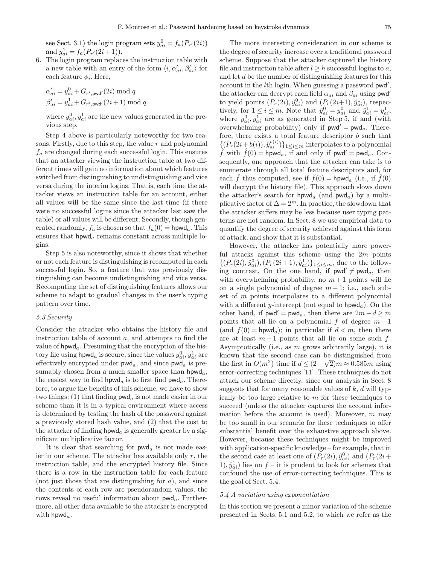see Sect. 3.1) the login program sets  $y_{ai}^0 = f_a(P_{r'}(2i))$ and  $y_{ai}^1 = f_a(P_{r'}(2i+1)).$ 

6. The login program replaces the instruction table with a new table with an entry of the form  $\langle i, \alpha'_{ai}, \beta'_{ai} \rangle$  for each feature  $\phi_i$ . Here,

$$
\alpha'_{ai} = y^0_{ai} + G_{r',\text{pwd}'}(2i) \mod q
$$
  

$$
\beta'_{ai} = y^1_{ai} + G_{r',\text{pwd}'}(2i+1) \mod q
$$

where  $y_{ai}^0, y_{ai}^1$  are the new values generated in the previous step.

Step 4 above is particularly noteworthy for two reasons. Firstly, due to this step, the value  $r$  and polynomial  $f_a$  are changed during each successful login. This ensures that an attacker viewing the instruction table at two different times will gain no information about which features switched from distinguishing to undistinguishing and vice versa during the interim logins. That is, each time the attacker views an instruction table for an account, either all values will be the same since the last time (if there were no successful logins since the attacker last saw the table) or all values will be different. Secondly, though generated randomly,  $f_a$  is chosen so that  $f_a(0) =$ hpwd<sub>a</sub>. This ensures that  $h$ pwd<sub>a</sub> remains constant across multiple logins.

Step 5 is also noteworthy, since it shows that whether or not each feature is distinguishing is recomputed in each successful login. So, a feature that was previously distinguishing can become undistinguishing and vice versa. Recomputing the set of distinguishing features allows our scheme to adapt to gradual changes in the user's typing pattern over time.

#### 5.3 Security

Consider the attacker who obtains the history file and instruction table of account  $a$ , and attempts to find the value of  $h$ pwd<sub>a</sub>. Presuming that the encryption of the history file using  $h$ pwd<sub>a</sub> is secure, since the values  $y_{ai}^0, y_{ai}^1$  are effectively encrypted under  $\mathsf{pwd}_a$ , and since  $\mathsf{pwd}_a$  is presumably chosen from a much smaller space than  $h$ pwd<sub>a</sub>, the easiest way to find hpwd<sub>a</sub> is to first find  $\mathsf{pwd}_a$ . Therefore, to argue the benefits of this scheme, we have to show two things: (1) that finding  $\mathsf{pwd}_a$  is not made easier in our scheme than it is in a typical environment where access is determined by testing the hash of the password against a previously stored hash value, and (2) that the cost to the attacker of finding  $h \uprho w d_a$  is generally greater by a significant multiplicative factor.

It is clear that searching for  $\mathsf{pwd}_a$  is not made easier in our scheme. The attacker has available only  $r$ , the instruction table, and the encrypted history file. Since there is a row in the instruction table for each feature (not just those that are distinguishing for  $a$ ), and since the contents of each row are pseudorandom values, the rows reveal no useful information about  $\mathsf{pwd}_a$ . Furthermore, all other data available to the attacker is encrypted with  $h$ pwd $a$ .

The more interesting consideration in our scheme is the degree of security increase over a traditional password scheme. Suppose that the attacker captured the history file and instruction table after  $l \geq h$  successful logins to a, and let d be the number of distinguishing features for this account in the lth login. When guessing a password pwd', the attacker can decrypt each field  $\alpha_{ai}$  and  $\beta_{ai}$  using pwd' to yield points  $(P_r(2i), \hat{y}_{ai}^0)$  and  $(P_r(2i+1), \hat{y}_{ai}^1)$ , respectively, for  $1 \leq i \leq m$ . Note that  $\hat{y}_{ai}^0 = y_{ai}^0$  and  $\hat{y}_{ai}^1 = y_{ai}^1$ , where  $y_{ai}^0, y_{ai}^1$  are as generated in Step 5, if and (with overwhelming probability) only if  $\mathsf{pwd}' = \mathsf{pwd}_a$ . Therefore, there exists a total feature descriptor  $b$  such that  $\{ (P_r(2i + b(i)), \hat{y}_{ai}^{b(i)}) \}_{1 \leq i \leq m}$  interpolates to a polynomial  $\hat{f}$  with  $\hat{f}(0) =$  hpwd<sub>a</sub>, if and only if pwd' = pwd<sub>a</sub>. Con- $\hat{f}$  with  $\hat{f}(0) =$  hpwd<sub>a</sub>, if and only if pwd' = pwd<sub>a</sub>. Consequently, one approach that the attacker can take is to enumerate through all total feature descriptors and, for each  $\hat{f}$  thus computed, see if  $\hat{f}(0) =$ hpwd<sub>a</sub> (i.e., if  $\hat{f}(0)$ ) will decrypt the history file). This approach slows down the attacker's search for  $h \uprho \wedge d_a$  (and  $\uprho \wedge d_a$ ) by a multiplicative factor of  $\Delta = 2^m$ . In practice, the slowdown that the attacker suffers may be less because user typing patterns are not random. In Sect. 8 we use empirical data to quantify the degree of security achieved against this form of attack, and show that it is substantial.

However, the attacker has potentially more powerful attacks against this scheme using the  $2m$  points  $\{(P_r(2i), \hat{y}_{ai}^0), (P_r(2i+1), \hat{y}_{ai}^1)\}_{1 \leq i \leq m}$ , due to the following contrast. On the one hand, if  $\mathsf{pwd}' \neq \mathsf{pwd}_a$ , then with overwhelming probability, no  $m+1$  points will lie on a single polynomial of degree  $m-1$ ; i.e., each subset of  $m$  points interpolates to a different polynomial with a different y-intercept (not equal to  $h$ <sub>p</sub>wd<sub>a</sub>). On the other hand, if  $\mathsf{pwd}' = \mathsf{pwd}_a$ , then there are  $2m - d \geq m$ points that all lie on a polynomial f of degree  $m-1$ (and  $f(0) =$ hpwd<sub>a</sub>); in particular if  $d < m$ , then there are at least  $m+1$  points that all lie on some such f. Asymptotically (i.e., as  $m$  grows arbitrarily large), it is known that the second case can be distinguished from the first in  $O(m^2)$  time if  $d \leq (2-\sqrt{2})m \approx 0.585m$  using error-correcting techniques [11]. These techniques do not attack our scheme directly, since our analysis in Sect. 8 suggests that for many reasonable values of  $k, d$  will typically be too large relative to  $m$  for these techniques to succeed (unless the attacker captures the account information before the account is used). Moreover,  $m$  may be too small in our scenario for these techniques to offer substantial benefit over the exhaustive approach above. However, because these techniques might be improved with application-specific knowledge – for example, that in the second case at least one of  $(P_r(2i), \hat{y}_{ai}^0)$  and  $(P_r(2i +$  $(1), \hat{y}_{ai}^1$ ) lies on  $f$  – it is prudent to look for schemes that confound the use of error-correcting techniques. This is the goal of Sect. 5.4.

## 5.4 A variation using exponentiation

In this section we present a minor variation of the scheme presented in Sects. 5.1 and 5.2, to which we refer as the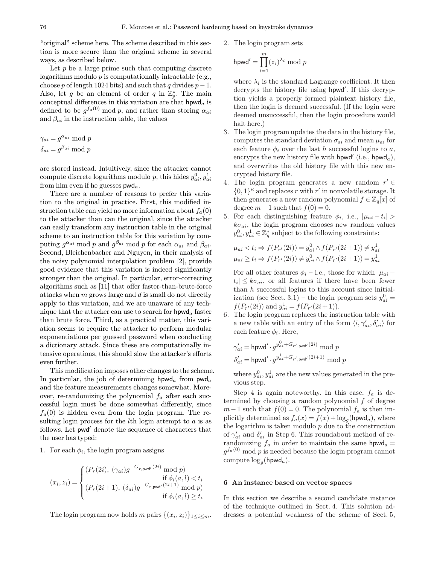"original" scheme here. The scheme described in this section is more secure than the original scheme in several ways, as described below.

Let  $p$  be a large prime such that computing discrete logarithms modulo  $p$  is computationally intractable (e.g., choose p of length 1024 bits) and such that q divides  $p-1$ . Also, let g be an element of order q in  $\mathbb{Z}_p^*$ . The main conceptual differences in this variation are that  $h$ pwd<sub>a</sub> is defined to be  $q^{f_a(0)}$  mod p, and rather than storing  $\alpha_{ai}$ and  $\beta_{ai}$  in the instruction table, the values

$$
\gamma_{ai} = g^{\alpha_{ai}} \bmod p
$$

$$
\delta_{ai} = g^{\beta_{ai}} \bmod p
$$

are stored instead. Intuitively, since the attacker cannot compute discrete logarithms modulo p, this hides  $y_{ai}^0, y_{ai}^1$ from him even if he guesses  $\mathsf{pwd}_a$ .

There are a number of reasons to prefer this variation to the original in practice. First, this modified instruction table can yield no more information about  $f_a(0)$ to the attacker than can the original, since the attacker can easily transform any instruction table in the original scheme to an instruction table for this variation by computing  $g^{\alpha_{ai}}$  mod p and  $g^{\beta_{ai}}$  mod p for each  $\alpha_{ai}$  and  $\beta_{ai}$ . Second, Bleichenbacher and Nguyen, in their analysis of the noisy polynomial interpolation problem [2], provide good evidence that this variation is indeed significantly stronger than the original. In particular, error-correcting algorithms such as [11] that offer faster-than-brute-force attacks when  $m$  grows large and  $d$  is small do not directly apply to this variation, and we are unaware of any technique that the attacker can use to search for  $h$ pwd<sub>a</sub> faster than brute force. Third, as a practical matter, this variation seems to require the attacker to perform modular exponentiations per guessed password when conducting a dictionary attack. Since these are computationally intensive operations, this should slow the attacker's efforts even further.

This modification imposes other changes to the scheme. In particular, the job of determining hpwd<sub>a</sub> from  $\mathsf{pwd}_a$ and the feature measurements changes somewhat. Moreover, re-randomizing the polynomial  $f_a$  after each successful login must be done somewhat differently, since  $f_a(0)$  is hidden even from the login program. The resulting login process for the  $l$ <sup>th</sup> login attempt to  $a$  is as follows. Let pwd' denote the sequence of characters that the user has typed:

1. For each  $\phi_i$ , the login program assigns

$$
(x_i, z_i) = \begin{cases} (P_r(2i), (\gamma_{ai})g^{-G_{r, \text{pwd}'}(2i)} \mod p) & \text{if } \phi_i(a, l) < t_i \\ (P_r(2i+1), (\delta_{ai})g^{-G_{r, \text{pwd}'}(2i+1)} \mod p) & \text{if } \phi_i(a, l) \ge t_i \end{cases}
$$

The login program now holds m pairs  $\{(x_i, z_i)\}_{1 \leq i \leq m}$ .

2. The login program sets

$$
\mathsf{h} \mathsf{p} \mathsf{w} \mathsf{d}' = \prod_{i=1}^m (z_i)^{\lambda_i} \bmod p
$$

where  $\lambda_i$  is the standard Lagrange coefficient. It then decrypts the history file using hpwd'. If this decryption yields a properly formed plaintext history file, then the login is deemed successful. (If the login were deemed unsuccessful, then the login procedure would halt here.)

- 3. The login program updates the data in the history file, computes the standard deviation  $\sigma_{ai}$  and mean  $\mu_{ai}$  for each feature  $\phi_i$  over the last h successful logins to a, encrypts the new history file with  $h$ pwd' (i.e.,  $h$ pwd<sub>a</sub>), and overwrites the old history file with this new encrypted history file.
- 4. The login program generates a new random  $r' \in$  $\{0,1\}^{\kappa}$  and replaces r with r' in nonvolatile storage. It then generates a new random polynomial  $f \in \mathbb{Z}_q[x]$  of degree  $m-1$  such that  $f(0) = 0$ .
- 5. For each distinguishing feature  $\phi_i$ , i.e.,  $|\mu_{ai} t_i|$  $k\sigma_{ai}$ , the login program chooses new random values  $y_{ai}^0, y_{ai}^1 \in \mathbb{Z}_q^*$  subject to the following constraints:

$$
\mu_{ai} < t_i \Rightarrow f(P_{r'}(2i)) = y_{ai}^0 \land f(P_{r'}(2i+1)) \neq y_{ai}^1
$$
\n
$$
\mu_{ai} \geq t_i \Rightarrow f(P_{r'}(2i)) \neq y_{ai}^0 \land f(P_{r'}(2i+1)) = y_{ai}^1
$$

For all other features  $\phi_i$  – i.e., those for which  $|\mu_{ai}$  –  $|t_i| \leq k\sigma_{ai}$ , or all features if there have been fewer than h successful logins to this account since initialization (see Sect. 3.1) – the login program sets  $y_{ai}^0$  =  $f(P_{r'}(2i))$  and  $y_{ai}^1 = f(P_{r'}(2i+1)).$ 

6. The login program replaces the instruction table with a new table with an entry of the form  $\langle i, \gamma'_{ai}, \delta'_{ai} \rangle$  for each feature  $\phi_i$ . Here,

$$
\begin{aligned} \gamma'_{ai} &= \mathsf{h} \mathsf{p} \mathsf{w} \mathsf{d}' \cdot g^{\mathsf{y}^0_{ai} + G_{r', \mathsf{p} \mathsf{w} \mathsf{d}'}(2i)} \bmod p \\ \delta'_{ai} &= \mathsf{h} \mathsf{p} \mathsf{w} \mathsf{d}' \cdot g^{\mathsf{y}^1_{ai} + G_{r', \mathsf{p} \mathsf{w} \mathsf{d}'}(2i+1)} \bmod p \end{aligned}
$$

where  $y_{ai}^0, y_{ai}^1$  are the new values generated in the previous step.

Step 4 is again noteworthy. In this case,  $f_a$  is determined by choosing a random polynomial  $f$  of degree  $m-1$  such that  $f(0) = 0$ . The polynomial  $f_a$  is then implicitly determined as  $f_a(x) = f(x) + \log_q(\text{hprod}_a)$ , where the logarithm is taken modulo  $p$  due to the construction of  $\gamma'_{ai}$  and  $\delta'_{ai}$  in Step 6. This roundabout method of rerandomizing  $f_a$  in order to maintain the same hpwd<sub>a</sub> =  $g^{fa(0)}$  mod p is needed because the login program cannot compute  $\log_q(\text{hpudd}_a)$ .

#### 6 An instance based on vector spaces

In this section we describe a second candidate instance of the technique outlined in Sect. 4. This solution addresses a potential weakness of the scheme of Sect. 5,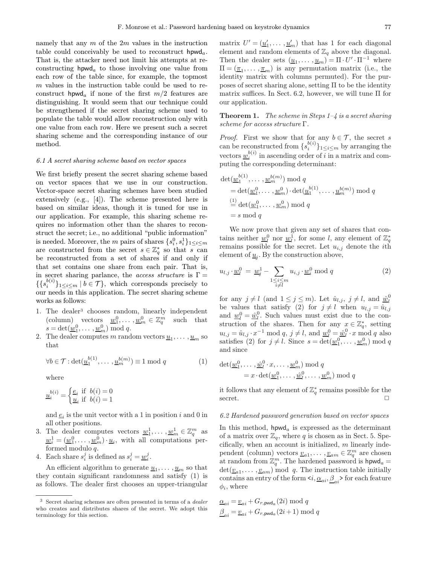namely that any  $m$  of the  $2m$  values in the instruction table could conceivably be used to reconstruct  $h \text{pwd}_a$ . That is, the attacker need not limit his attempts at reconstructing  $h$ pwd<sub>a</sub> to those involving one value from each row of the table since, for example, the topmost m values in the instruction table could be used to reconstruct hpwd<sub>a</sub> if none of the first  $m/2$  features are distinguishing. It would seem that our technique could be strengthened if the secret sharing scheme used to populate the table would allow reconstruction only with one value from each row. Here we present such a secret sharing scheme and the corresponding instance of our method.

## 6.1 A secret sharing scheme based on vector spaces

We first briefly present the secret sharing scheme based on vector spaces that we use in our construction. Vector-space secret sharing schemes have been studied extensively (e.g., [4]). The scheme presented here is based on similar ideas, though it is tuned for use in our application. For example, this sharing scheme requires no information other than the shares to reconstruct the secret; i.e., no additional "public information" is needed. Moreover, the m pairs of shares  $\{s_i^0, s_i^1\}_{1 \le i \le m}$ are constructed from the secret  $s \in \mathbb{Z}_q^*$  so that s can be reconstructed from a set of shares if and only if that set contains one share from each pair. That is, in secret sharing parlance, the access structure is  $\Gamma =$  $\{\{s_i^{b(i)}\}_{1\leq i\leq m} \mid b\in\mathcal{T}\}\$ , which corresponds precisely to our needs in this application. The secret sharing scheme works as follows:

- 1. The dealer<sup>3</sup> chooses random, linearly independent (column) vectors  $\underline{w}_1^0, \ldots, \underline{w}_m^0 \in \mathbb{Z}_q^m$ such that  $s = \det(\underline{w}_1^0, \dots, \underline{w}_m^0) \bmod q.$
- 2. The dealer computes m random vectors  $\underline{u}_1, \ldots, \underline{u}_m$  so that

$$
\forall b \in \mathcal{T} : \det(\underline{u}_1^{b(1)}, \dots, \underline{u}_m^{b(m)}) \equiv 1 \bmod q \tag{1}
$$

where

$$
\underline{u}_i^{b(i)} = \begin{cases} \underline{e}_i & \text{if } b(i) = 0\\ \underline{u}_i & \text{if } b(i) = 1 \end{cases}
$$

and  $\underline{e}_i$  is the unit vector with a 1 in position i and 0 in all other positions.

- 3. The dealer computes vectors  $\underline{w}_1^1, \dots, \underline{w}_m^1 \in \mathbb{Z}_q^m$  as  $\underline{w}_i^1 = (\underline{w}_1^0, \ldots, \underline{w}_m^0) \cdot \underline{u}_i$ , with all computations performed modulo q.
- 4. Each share  $s_i^j$  is defined as  $s_i^j = \underline{w}_i^j$ .

An efficient algorithm to generate  $\underline{u}_1, \dots, \underline{u}_m$  so that they contain significant randomness and satisfy (1) is as follows. The dealer first chooses an upper-triangular

matrix  $U' = (\underline{u}'_1, \dots, \underline{u}'_m)$  that has 1 for each diagonal element and random elements of  $\mathbb{Z}_q$  above the diagonal. Then the dealer sets  $(\underline{u}_1, \dots, \underline{u}_m) = \Pi \cdot U' \cdot \Pi^{-1}$  where  $\Pi=(\underline{\pi}_1,\ldots,\underline{\pi}_m)$  is any permutation matrix (i.e., the identity matrix with columns permuted). For the purposes of secret sharing alone, setting  $\Pi$  to be the identity matrix suffices. In Sect. 6.2, however, we will tune  $\Pi$  for our application.

**Theorem 1.** The scheme in Steps  $1-\frac{1}{4}$  is a secret sharing scheme for access structure Γ.

*Proof.* First we show that for any  $b \in \mathcal{T}$ , the secret s can be reconstructed from  $\{s_i^{b(i)}\}_{1\leq i\leq m}$  by arranging the vectors  $\underline{w}_i^{b(i)}$  in ascending order of i in a matrix and computing the corresponding determinant:

$$
det(\underline{w}_1^{b(1)}, \dots, \underline{w}_m^{b(m)}) \mod q
$$
  
= 
$$
det(\underline{w}_1^0, \dots, \underline{w}_m^0) \cdot det(\underline{u}_1^{b(1)}, \dots, \underline{u}_m^{b(m)}) \mod q
$$
  
= 
$$
det(\underline{w}_1^0, \dots, \underline{w}_m^0) \mod q
$$
  
= 
$$
s \mod q
$$

We now prove that given any set of shares that contains neither  $\underline{w}_l^0$  nor  $\underline{w}_l^1$ , for some l, any element of  $\mathbb{Z}_q^*$ remains possible for the secret. Let  $u_{i,j}$  denote the *i*th element of  $\underline{u}_i$ . By the construction above,

$$
u_{l,j} \cdot \underline{w}_l^0 = \underline{w}_j^1 - \sum_{\substack{1 \le i \le m \\ i \ne l}} u_{i,j} \cdot \underline{w}_i^0 \bmod q \tag{2}
$$

for any  $j \neq l$  (and  $1 \leq j \leq m$ ). Let  $\hat{u}_{l,j}, \ j \neq l$ , and  $\hat{w}_l^0$ be values that satisfy (2) for  $j \neq l$  when  $u_{l,j} = \hat{u}_{l,j}$ and  $\underline{w}_l^0 = \underline{\hat{w}}_l^0$ . Such values must exist due to the construction of the shares. Then for any  $x \in \mathbb{Z}_q^*$ , setting  $u_{l,j} = \hat{u}_{l,j} \cdot x^{-1} \mod q, \ j \neq l, \text{ and } \underline{w}_l^0 = \underline{\hat{w}}_l^0 \cdot x \mod q \text{ also}$ satisfies (2) for  $j \neq l$ . Since  $s = \det(\underline{w}_1^0, \dots, \underline{w}_m^0) \mod q$ and since

$$
\det(\underline{w}_1^0, \dots, \underline{\hat{w}}_l^0 \cdot x, \dots, \underline{w}_m^0) \bmod q
$$
  
=  $x \cdot \det(\underline{w}_1^0, \dots, \underline{\hat{w}}_l^0, \dots, \underline{w}_m^0) \bmod q$ 

it follows that any element of  $\mathbb{Z}_q^*$  remains possible for the secret.  $\Box$ 

#### 6.2 Hardened password generation based on vector spaces

In this method,  $h$ pwd<sub>a</sub> is expressed as the determinant of a matrix over  $\mathbb{Z}_q$ , where q is chosen as in Sect. 5. Specifically, when an account is initialized,  $m$  linearly independent (column) vectors  $\underline{v}_{a1}, \ldots, \underline{v}_{am} \in \mathbb{Z}_q^m$  are chosen at random from  $\mathbb{Z}_q^m$ . The hardened password is hpwd<sub>a</sub> =  $\det(\underline{v}_{a1},\ldots,\underline{v}_{am})$  mod q. The instruction table initially contains an entry of the form  $\langle i, \underline{\alpha}_{ai}, \underline{\beta}_{ai} \rangle$  for each feature  $\phi_i$ , where

$$
\begin{aligned} \underline{\alpha}_{ai} &= \underline{v}_{ai} + G_{r,\text{pwd}_a}(2i) \bmod q\\ \underline{\beta}_{ai} &= \underline{v}_{ai} + G_{r,\text{pwd}_a}(2i+1) \bmod q \end{aligned}
$$

<sup>3</sup> Secret sharing schemes are often presented in terms of a dealer who creates and distributes shares of the secret. We adopt this terminology for this section.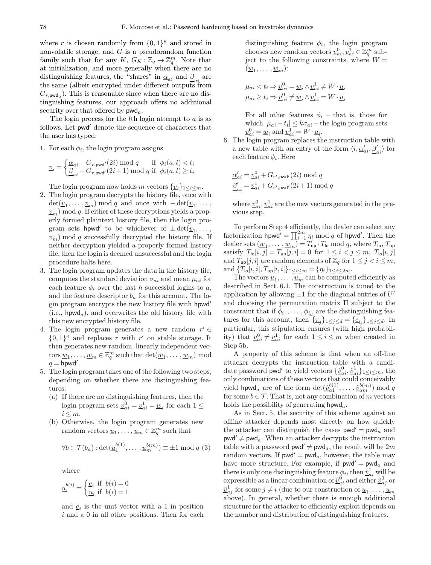where r is chosen randomly from  $\{0,1\}^{\kappa}$  and stored in nonvolatile storage, and  $G$  is a pseudorandom function family such that for any  $K, G_K: \mathbb{Z}_q \to \mathbb{Z}_q^m$ . Note that at initialization, and more generally when there are no distinguishing features, the "shares" in  $\alpha_{ai}$  and  $\beta_{ai}$  are the same (albeit encrypted under different outputs from  $G_{r,\text{pwd}_a}$ . This is reasonable since when there are no distinguishing features, our approach offers no additional security over that offered by  $\mathsf{pwd}_a$ .

The login process for the  $l$ th login attempt to  $a$  is as follows. Let pwd' denote the sequence of characters that the user has typed:

1. For each  $\phi_i$ , the login program assigns

$$
\underline{v}_i = \begin{cases} \underline{\alpha}_{ai} - G_{r,\text{pwd}'}(2i) \bmod q & \text{if } \phi_i(a,l) < t_i \\ \underline{\beta}_{ai} - G_{r,\text{pwd}'}(2i+1) \bmod q & \text{if } \phi_i(a,l) \ge t_i \end{cases}
$$

The login program now holds m vectors  $\{\underline{v}_i\}_{1\leq i\leq m}$ .

- 2. The login program decrypts the history file, once with  $\det(\underline{v}_1,\ldots,\underline{v}_m)$  mod q and once with  $-\det(\underline{v}_1,\ldots,$  $v_m$ ) mod q. If either of these decryptions yields a properly formed plaintext history file, then the login program sets hpwd' to be whichever of  $\pm \det(\underline{v}_1,\ldots,$  $v_m$ ) mod q successfully decrypted the history file. If neither decryption yielded a properly formed history file, then the login is deemed unsuccessful and the login procedure halts here.
- 3. The login program updates the data in the history file, computes the standard deviation  $\sigma_{ai}$  and mean  $\mu_{ai}$  for each feature  $\phi_i$  over the last h successful logins to a, and the feature descriptor  $b_a$  for this account. The login program encrypts the new history file with hpwd' (i.e.,  $h$ pwd<sub>a</sub>), and overwrites the old history file with this new encrypted history file.
- 4. The login program generates a new random  $r' \in$  $\{0,1\}^{\kappa}$  and replaces r with r' on stable storage. It then generates new random, linearly independent vectors  $\underline{w}_1, \ldots, \underline{w}_m \in \mathbb{Z}_q^m$  such that  $\det(\underline{w}_1, \ldots, \underline{w}_m)$  mod  $q =$  hpwd'.
- 5. The login program takes one of the following two steps, depending on whether there are distinguishing features:
	- (a) If there are no distinguishing features, then the login program sets  $\underline{v}_{ai}^0 = \underline{v}_{ai}^1 = \underline{w}_i$  for each  $1 \leq$  $i \leq m$ .
	- (b) Otherwise, the login program generates new random vectors  $\underline{u}_1, \ldots, \underline{u}_m \in \mathbb{Z}_q^m$  such that

$$
\forall b \in \mathcal{T}(b_a) : \det(\underline{u}_1^{b(1)}, \dots, \underline{u}_m^{b(m)}) \equiv \pm 1 \bmod q \ (3)
$$

where

$$
\underline{u}_i^{b(i)} = \begin{cases} \underline{e}_i & \text{if } b(i) = 0\\ \underline{u}_i & \text{if } b(i) = 1 \end{cases}
$$

and  $\underline{e}_i$  is the unit vector with a 1 in position  $i$  and a 0 in all other positions. Then for each

distinguishing feature  $\phi_i$ , the login program chooses new random vectors  $\underline{v}_{ai}^0, \underline{v}_{ai}^1 \in \mathbb{Z}_q^m$  subject to the following constraints, where  $W =$  $(\underline{w}_1,\ldots,\underline{w}_m)$ :

$$
\mu_{ai} < t_i \Rightarrow \underline{v}_{ai}^0 = \underline{w}_i \land \underline{v}_{ai}^1 \neq W \cdot \underline{u}_i
$$
\n
$$
\mu_{ai} \geq t_i \Rightarrow \underline{v}_{ai}^0 \neq \underline{w}_i \land \underline{v}_{ai}^1 = W \cdot \underline{u}_i
$$

For all other features  $\phi_i$  – that is, those for which  $|\mu_{ai} - t_i| \leq k\sigma_{ai}$  – the login program sets  $\underline{v}_{ai}^0 = \underline{w}_i$  and  $\underline{v}_{ai}^1 = W \cdot \underline{u}_i$ .

6. The login program replaces the instruction table with a new table with an entry of the form  $\langle i, \underline{\alpha}'_{ai}, \underline{\beta}'_{ai} \rangle$  for each feature  $\phi_i$ . Here

$$
\begin{aligned}\n\underline{\alpha}'_{ai} &= \underline{v}_{ai}^0 + G_{r',\text{pwd}'}(2i) \bmod q \\
\underline{\beta}'_{ai} &= \underline{v}_{ai}^1 + G_{r',\text{pwd}'}(2i+1) \bmod q\n\end{aligned}
$$

where  $\underline{v}_{ai}^0, \underline{v}_{ai}^1$  are the new vectors generated in the previous step.

To perform Step 4 efficiently, the dealer can select any factorization hpwd' =  $\prod_{i=1}^{2m} \eta_i \mod q$  of hpwd'. Then the dealer sets  $(\underline{w}_1, \ldots, \underline{w}_m) = T_{\mathsf{up}} \cdot T_{\mathsf{lo}} \text{ mod } q$ , where  $T_{\mathsf{lo}}$ ,  $T_{\mathsf{up}}$ satisfy  $T_{\text{lo}}[i, j] = T_{\text{up}}[j, i] = 0$  for  $1 \leq i < j \leq m$ ,  $T_{\text{lo}}[i, j]$ and  $T_{\text{up}}[j, i]$  are random elements of  $\mathbb{Z}_q$  for  $1 \leq j < i \leq m$ , and  $\{T_{\text{lo}}[i, i], T_{\text{up}}[i, i]\}_{1 \leq i \leq m} = \{\eta_i\}_{1 \leq i \leq 2m}$ .

The vectors  $\underline{u}_1,\ldots,\underline{u}_m$  can be computed efficiently as described in Sect. 6.1. The construction is tuned to the application by allowing  $\pm 1$  for the diagonal entries of  $U'$ and choosing the permutation matrix Π subject to the constraint that if  $\phi_{i_1}, \ldots, \phi_{i_d}$  are the distinguishing features for this account, then  $\{\underline{\pi}_j\}_{1\leq j\leq d} = \{\underline{e}_{i_j}\}_{1\leq j\leq d}$ . In particular, this stipulation ensures (with high probability) that  $\underline{v}_{ai}^0 \neq \underline{v}_{ai}^1$  for each  $1 \leq i \leq m$  when created in Step 5b.

A property of this scheme is that when an off-line attacker decrypts the instruction table with a candidate password pwd' to yield vectors  $\{\hat{v}_{ai}^0, \hat{v}_{ai}^1\}_{1 \le i \le m}$ , the only combinations of these vectors that could conceivably yield hpwd<sub>a</sub> are of the form  $\det(\hat{\underline{v}}_a^{b(1)}, \dots, \hat{\underline{v}}_{am}^{b(m)}) \bmod q$ for some  $b \in \mathcal{T}$ . That is, not any combination of m vectors holds the possibility of generating  $h \text{pwd}_a$ .

As in Sect. 5, the security of this scheme against an offline attacker depends most directly on how quickly the attacker can distinguish the cases  $\mathsf{pwd}' = \mathsf{pwd}_a$  and  $\mathsf{pwd}' \neq \mathsf{pwd}_a$ . When an attacker decrypts the instruction table with a password  $\mathsf{pwd}' \neq \mathsf{pwd}_a$ , the result will be  $2m$ random vectors. If  $\mathsf{pwd}' = \mathsf{pwd}_a$ , however, the table may have more structure. For example, if  $\mathsf{pwd}' = \mathsf{pwd}_a$  and there is only one distinguishing feature  $\phi_i$ , then  $\hat{v}_{ai}^1$  will be expressible as a linear combination of  $\hat{v}_{ai}^0$  and either  $\hat{v}_{aj}^0$  or  $\hat{v}_{aj}^1$  for some  $j \neq i$  (due to our construction of  $\underline{u}_1, \ldots, \underline{u}_m$ above). In general, whether there is enough additional structure for the attacker to efficiently exploit depends on the number and distribution of distinguishing features.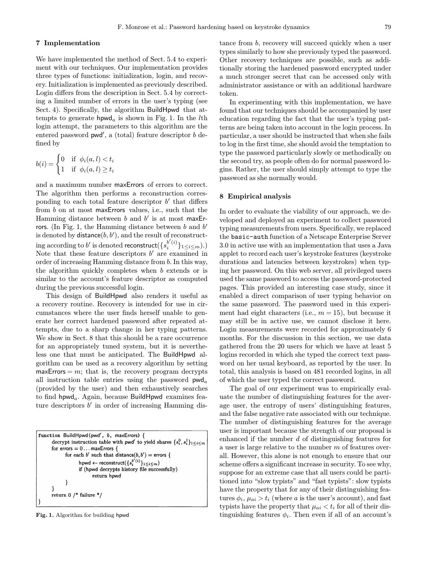# 7 Implementation

We have implemented the method of Sect. 5.4 to experiment with our techniques. Our implementation provides three types of functions: initialization, login, and recovery. Initialization is implemented as previously described. Login differs from the description in Sect. 5.4 by correcting a limited number of errors in the user's typing (see Sect. 4). Specifically, the algorithm BuildHpwd that attempts to generate  $h \text{pwd}_a$  is shown in Fig. 1. In the *l*th login attempt, the parameters to this algorithm are the entered password pwd', a (total) feature descriptor b defined by

$$
b(i) = \begin{cases} 0 & \text{if } \phi_i(a, l) < t_i \\ 1 & \text{if } \phi_i(a, l) \ge t_i \end{cases}
$$

and a maximum number maxErrors of errors to correct. The algorithm then performs a reconstruction corresponding to each total feature descriptor  $b'$  that differs from b on at most maxErrors values, i.e., such that the Hamming distance between  $b$  and  $b'$  is at most maxErrors. (In Fig. 1, the Hamming distance between  $b$  and  $b'$ is denoted by  $distance(b, b')$ , and the result of reconstructing according to b' is denoted reconstruct( $\{s_i^{b'(i)}\}_{1\leq i\leq m}$ ).) Note that these feature descriptors  $b'$  are examined in order of increasing Hamming distance from b. In this way, the algorithm quickly completes when b extends or is similar to the account's feature descriptor as computed during the previous successful login.

This design of BuildHpwd also renders it useful as a recovery routine. Recovery is intended for use in circumstances where the user finds herself unable to generate her correct hardened password after repeated attempts, due to a sharp change in her typing patterns. We show in Sect. 8 that this should be a rare occurrence for an appropriately tuned system, but it is nevertheless one that must be anticipated. The BuildHpwd algorithm can be used as a recovery algorithm by setting  $maxErrors = m$ ; that is, the recovery program decrypts all instruction table entries using the password  $\mathsf{pwd}_a$ (provided by the user) and then exhaustively searches to find hpwd<sub>a</sub>. Again, because BuildHpwd examines feature descriptors  $b'$  in order of increasing Hamming dis-

```
function BuildHpwd(pwd', b, maxErrors) {
      decrypt instruction table with pwd' to yield shares \{s_i^0, s_i^1\}_{1 \leq i \leq m}for errors = 0 \dots max Errors {
             for each b' such that distance(b, b') = errors {
                    hpwd \leftarrow reconstruct(\{s_i^{b'(i)}\}_{1 \le i \le m})if (hpwd decrypts history file successfully)
                           return hpwd
             \mathcal{P}ł
      return 0 /* failure */
```
Fig. 1. Algorithm for building hpwd

tance from b, recovery will succeed quickly when a user types similarly to how she previously typed the password. Other recovery techniques are possible, such as additionally storing the hardened password encrypted under a much stronger secret that can be accessed only with administrator assistance or with an additional hardware token.

In experimenting with this implementation, we have found that our techniques should be accompanied by user education regarding the fact that the user's typing patterns are being taken into account in the login process. In particular, a user should be instructed that when she fails to log in the first time, she should avoid the temptation to type the password particularly slowly or methodically on the second try, as people often do for normal password logins. Rather, the user should simply attempt to type the password as she normally would.

#### 8 Empirical analysis

In order to evaluate the viability of our approach, we developed and deployed an experiment to collect password typing measurements from users. Specifically, we replaced the basic-auth function of a Netscape Enterprise Server 3.0 in active use with an implementation that uses a Java applet to record each user's keystroke features (keystroke durations and latencies between keystrokes) when typing her password. On this web server, all privileged users used the same password to access the password-protected pages. This provided an interesting case study, since it enabled a direct comparison of user typing behavior on the same password. The password used in this experiment had eight characters (i.e.,  $m = 15$ ), but because it may still be in active use, we cannot disclose it here. Login measurements were recorded for approximately 6 months. For the discussion in this section, we use data gathered from the 20 users for which we have at least 5 logins recorded in which she typed the correct text password on her usual keyboard, as reported by the user. In total, this analysis is based on 481 recorded logins, in all of which the user typed the correct password.

The goal of our experiment was to empirically evaluate the number of distinguishing features for the average user, the entropy of users' distinguishing features, and the false negative rate associated with our technique. The number of distinguishing features for the average user is important because the strength of our proposal is enhanced if the number d of distinguishing features for a user is large relative to the number m of features overall. However, this alone is not enough to ensure that our scheme offers a significant increase in security. To see why, suppose for an extreme case that all users could be partitioned into "slow typists" and "fast typists": slow typists have the property that for any of their distinguishing features  $\phi_i$ ,  $\mu_{ai} > t_i$  (where a is the user's account), and fast typists have the property that  $\mu_{ai} < t_i$  for all of their distinguishing features  $\phi_i$ . Then even if all of an account's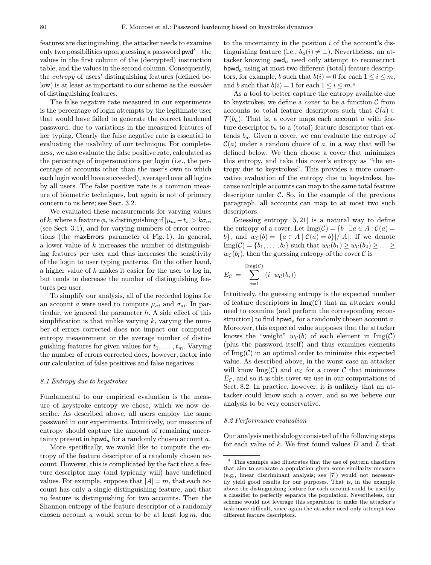features are distinguishing, the attacker needs to examine only two possibilities upon guessing a password pwd' - the values in the first column of the (decrypted) instruction table, and the values in the second column. Consequently, the entropy of users' distinguishing features (defined below) is at least as important to our scheme as the number of distinguishing features.

The false negative rate measured in our experiments is the percentage of login attempts by the legitimate user that would have failed to generate the correct hardened password, due to variations in the measured features of her typing. Clearly the false negative rate is essential to evaluating the usability of our technique. For completeness, we also evaluate the false positive rate, calculated as the percentage of impersonations per login (i.e., the percentage of accounts other than the user's own to which each login would have succeeded), averaged over all logins by all users. The false positive rate is a common measure of biometric techniques, but again is not of primary concern to us here; see Sect. 3.2.

We evaluated these measurements for varying values of k, where a feature  $\phi_i$  is distinguishing if  $|\mu_{ai} - t_i| > k\sigma_{ai}$ (see Sect. 3.1), and for varying numbers of error corrections (the maxErrors parameter of Fig. 1). In general, a lower value of k increases the number of distinguishing features per user and thus increases the sensitivity of the login to user typing patterns. On the other hand, a higher value of k makes it easier for the user to log in, but tends to decrease the number of distinguishing features per user.

To simplify our analysis, all of the recorded logins for an account a were used to compute  $\mu_{ai}$  and  $\sigma_{ai}$ . In particular, we ignored the parameter  $h$ . A side effect of this simplification is that unlike varying  $k$ , varying the number of errors corrected does not impact our computed entropy measurement or the average number of distinguishing features for given values for  $t_1, \ldots, t_m$ . Varying the number of errors corrected does, however, factor into our calculation of false positives and false negatives.

# 8.1 Entropy due to keystrokes

Fundamental to our empirical evaluation is the measure of keystroke entropy we chose, which we now describe. As described above, all users employ the same password in our experiments. Intuitively, our measure of entropy should capture the amount of remaining uncertainty present in  $h$ pwd<sub>a</sub> for a randomly chosen account  $a$ .

More specifically, we would like to compute the entropy of the feature descriptor of a randomly chosen account. However, this is complicated by the fact that a feature descriptor may (and typically will) have undefined values. For example, suppose that  $|A| = m$ , that each account has only a single distinguishing feature, and that no feature is distinguishing for two accounts. Then the Shannon entropy of the feature descriptor of a randomly chosen account a would seem to be at least  $\log m$ , due to the uncertainty in the position  $i$  of the account's distinguishing feature (i.e.,  $b_a(i) \neq \perp$ ). Nevertheless, an attacker knowing  $\mathsf{pwd}_a$  need only attempt to reconstruct hpwd<sub>a</sub> using at most two different (total) feature descriptors, for example, b such that  $b(i) = 0$  for each  $1 \leq i \leq m$ , and b such that  $b(i) = 1$  for each  $1 \leq i \leq m$ .<sup>4</sup>

As a tool to better capture the entropy available due to keystrokes, we define a *cover* to be a function  $C$  from accounts to total feature descriptors such that  $\mathcal{C}(a) \in$  $\mathcal{T}(b_a)$ . That is, a cover maps each account a with feature descriptor  $b_a$  to a (total) feature descriptor that extends  $b_a$ . Given a cover, we can evaluate the entropy of  $\mathcal{C}(a)$  under a random choice of a, in a way that will be defined below. We then choose a cover that minimizes this entropy, and take this cover's entropy as "the entropy due to keystrokes". This provides a more conservative evaluation of the entropy due to keystrokes, because multiple accounts can map to the same total feature descriptor under  $C$ . So, in the example of the previous paragraph, all accounts can map to at most two such descriptors.

Guessing entropy [5, 21] is a natural way to define the entropy of a cover. Let  $\text{Img}(\mathcal{C}) = \{b \mid \exists a \in A : \mathcal{C}(a) = \emptyset\}$ b}, and  $w_{\mathcal{C}}(b) = |\{a \in A \mid \mathcal{C}(a) = b\}|/|A|$ . If we denote  $\text{Img}(\mathcal{C}) = \{b_1, \ldots, b_l\}$  such that  $w_{\mathcal{C}}(b_1) \geq w_{\mathcal{C}}(b_2) \geq \ldots \geq$  $w_{\mathcal{C}}(b_l)$ , then the guessing entropy of the cover C is

$$
E_{\mathcal{C}} = \sum_{i=1}^{|{\rm Im}\text{g}(\mathcal{C})|} (i \cdot w_{\mathcal{C}}(b_i))
$$

Intuitively, the guessing entropy is the expected number of feature descriptors in  $\text{Img}(\mathcal{C})$  that an attacker would need to examine (and perform the corresponding reconstruction) to find  $h$ pwd<sub>a</sub> for a randomly chosen account a. Moreover, this expected value supposes that the attacker knows the "weight"  $w_c(b)$  of each element in  $\text{Img}(\mathcal{C})$ (plus the password itself) and thus examines elements of  $\text{Img}(\mathcal{C})$  in an optimal order to minimize this expected value. As described above, in the worst case an attacker will know Img( $C$ ) and  $w_c$  for a cover C that minimizes  $E_{\mathcal{C}}$ , and so it is this cover we use in our computations of Sect. 8.2. In practice, however, it is unlikely that an attacker could know such a cover, and so we believe our analysis to be very conservative.

## 8.2 Performance evaluation

Our analysis methodology consisted of the following steps for each value of  $k$ . We first found values  $D$  and  $L$  that

<sup>4</sup> This example also illustrates that the use of pattern classifiers that aim to separate a population given some similarity measure (e.g., linear discriminant analysis; see [7]) would not necessarily yield good results for our purposes. That is, in the example above the distinguishing feature for each account could be used by a classifier to perfectly separate the population. Nevertheless, our scheme would not leverage this separation to make the attacker's task more difficult, since again the attacker need only attempt two different feature descriptors.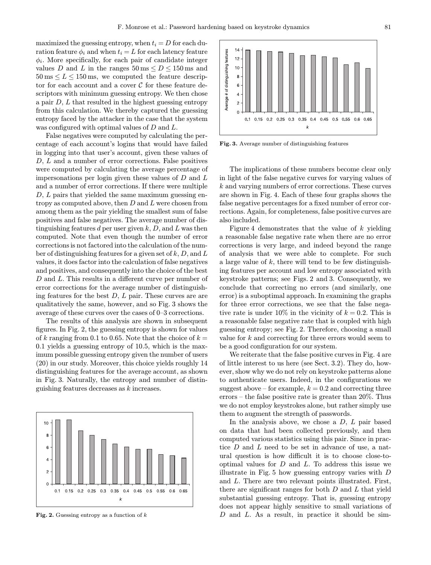maximized the guessing entropy, when  $t_i = D$  for each duration feature  $\phi_i$  and when  $t_i = L$  for each latency feature  $\phi_i$ . More specifically, for each pair of candidate integer values D and L in the ranges  $50 \text{ ms} \leq D \leq 150 \text{ ms}$  and  $50 \,\mathrm{ms} \leq L \leq 150 \,\mathrm{ms}$ , we computed the feature descriptor for each account and a cover  $C$  for these feature descriptors with minimum guessing entropy. We then chose a pair  $D, L$  that resulted in the highest guessing entropy from this calculation. We thereby captured the guessing entropy faced by the attacker in the case that the system was configured with optimal values of D and L.

False negatives were computed by calculating the percentage of each account's logins that would have failed in logging into that user's account, given these values of D, L and a number of error corrections. False positives were computed by calculating the average percentage of impersonations per login given these values of  $D$  and  $L$ and a number of error corrections. If there were multiple  $D, L$  pairs that yielded the same maximum guessing entropy as computed above, then  $D$  and  $L$  were chosen from among them as the pair yielding the smallest sum of false positives and false negatives. The average number of distinguishing features d per user given  $k, D$ , and  $L$  was then computed. Note that even though the number of error corrections is not factored into the calculation of the number of distinguishing features for a given set of  $k, D$ , and  $L$ values, it does factor into the calculation of false negatives and positives, and consequently into the choice of the best D and L. This results in a different curve per number of error corrections for the average number of distinguishing features for the best  $D, L$  pair. These curves are are qualitatively the same, however, and so Fig. 3 shows the average of these curves over the cases of 0–3 corrections.

The results of this analysis are shown in subsequent figures. In Fig. 2, the guessing entropy is shown for values of k ranging from 0.1 to 0.65. Note that the choice of  $k =$ 0.1 yields a guessing entropy of 10.5, which is the maximum possible guessing entropy given the number of users (20) in our study. Moreover, this choice yields roughly 14 distinguishing features for the average account, as shown in Fig. 3. Naturally, the entropy and number of distinguishing features decreases as  $k$  increases.



Fig. 2. Guessing entropy as a function of  $k$ 



Fig. 3. Average number of distinguishing features

The implications of these numbers become clear only in light of the false negative curves for varying values of k and varying numbers of error corrections. These curves are shown in Fig. 4. Each of these four graphs shows the false negative percentages for a fixed number of error corrections. Again, for completeness, false positive curves are also included.

Figure 4 demonstrates that the value of  $k$  yielding a reasonable false negative rate when there are no error corrections is very large, and indeed beyond the range of analysis that we were able to complete. For such a large value of  $k$ , there will tend to be few distinguishing features per account and low entropy associated with keystroke patterns; see Figs. 2 and 3. Consequently, we conclude that correcting no errors (and similarly, one error) is a suboptimal approach. In examining the graphs for three error corrections, we see that the false negative rate is under 10% in the vicinity of  $k = 0.2$ . This is a reasonable false negative rate that is coupled with high guessing entropy; see Fig. 2. Therefore, choosing a small value for  $k$  and correcting for three errors would seem to be a good configuration for our system.

We reiterate that the false positive curves in Fig. 4 are of little interest to us here (see Sect. 3.2). They do, however, show why we do not rely on keystroke patterns alone to authenticate users. Indeed, in the configurations we suggest above – for example,  $k = 0.2$  and correcting three errors – the false positive rate is greater than 20%. Thus we do not employ keystrokes alone, but rather simply use them to augment the strength of passwords.

In the analysis above, we chose a  $D, L$  pair based on data that had been collected previously, and then computed various statistics using this pair. Since in practice D and L need to be set in advance of use, a natural question is how difficult it is to choose close-tooptimal values for  $D$  and  $L$ . To address this issue we illustrate in Fig.  $5$  how guessing entropy varies with  $D$ and L. There are two relevant points illustrated. First, there are significant ranges for both  $D$  and  $L$  that yield substantial guessing entropy. That is, guessing entropy does not appear highly sensitive to small variations of  $D$  and  $L$ . As a result, in practice it should be sim-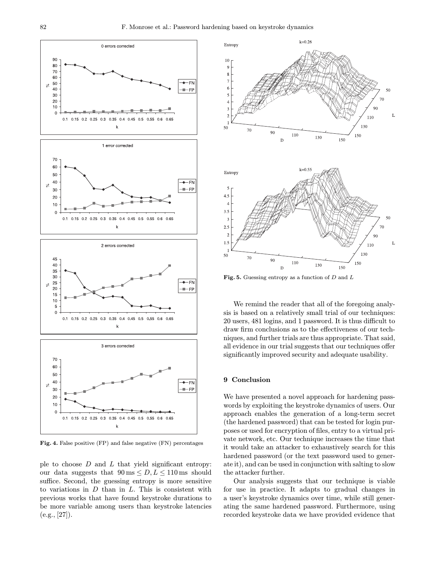

Fig. 4. False positive (FP) and false negative (FN) percentages

ple to choose  $D$  and  $L$  that yield significant entropy: our data suggests that  $90 \text{ ms} \le D, L \le 110 \text{ ms}$  should suffice. Second, the guessing entropy is more sensitive to variations in  $D$  than in  $L$ . This is consistent with previous works that have found keystroke durations to be more variable among users than keystroke latencies (e.g., [27]).



Fig. 5. Guessing entropy as a function of  $D$  and  $L$ 

We remind the reader that all of the foregoing analysis is based on a relatively small trial of our techniques: 20 users, 481 logins, and 1 password. It is thus difficult to draw firm conclusions as to the effectiveness of our techniques, and further trials are thus appropriate. That said, all evidence in our trial suggests that our techniques offer significantly improved security and adequate usability.

# 9 Conclusion

We have presented a novel approach for hardening passwords by exploiting the keystroke dynamics of users. Our approach enables the generation of a long-term secret (the hardened password) that can be tested for login purposes or used for encryption of files, entry to a virtual private network, etc. Our technique increases the time that it would take an attacker to exhaustively search for this hardened password (or the text password used to generate it), and can be used in conjunction with salting to slow the attacker further.

Our analysis suggests that our technique is viable for use in practice. It adapts to gradual changes in a user's keystroke dynamics over time, while still generating the same hardened password. Furthermore, using recorded keystroke data we have provided evidence that